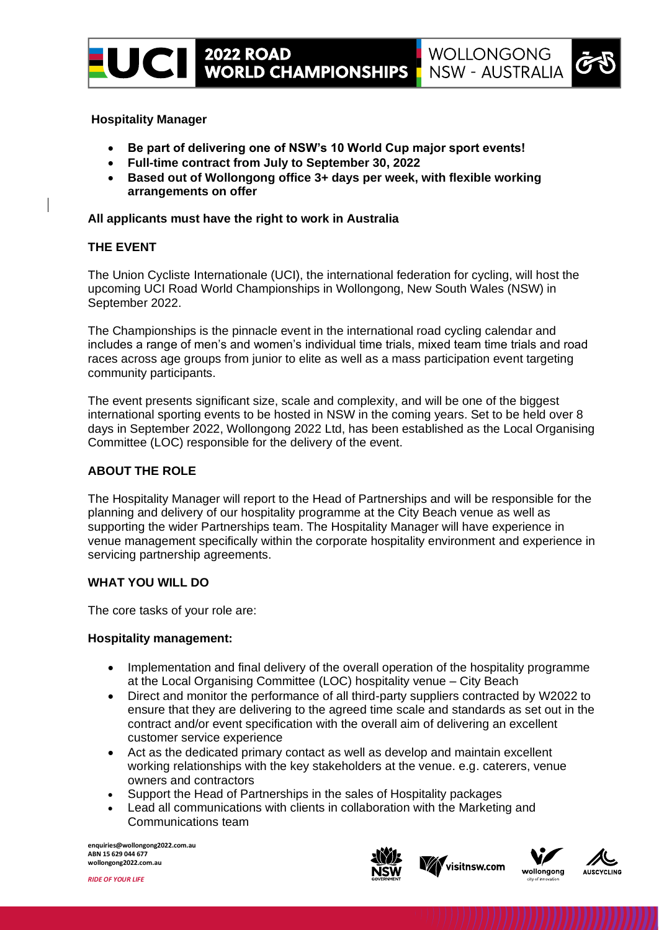

- **Be part of delivering one of NSW's 10 World Cup major sport events!**
- **Full-time contract from July to September 30, 2022**
- **Based out of Wollongong office 3+ days per week, with flexible working arrangements on offer**

#### **All applicants must have the right to work in Australia**

## **THE EVENT**

The Union Cycliste Internationale (UCI), the international federation for cycling, will host the upcoming UCI Road World Championships in Wollongong, New South Wales (NSW) in September 2022.

The Championships is the pinnacle event in the international road cycling calendar and includes a range of men's and women's individual time trials, mixed team time trials and road races across age groups from junior to elite as well as a mass participation event targeting community participants.

The event presents significant size, scale and complexity, and will be one of the biggest international sporting events to be hosted in NSW in the coming years. Set to be held over 8 days in September 2022, Wollongong 2022 Ltd, has been established as the Local Organising Committee (LOC) responsible for the delivery of the event.

#### **ABOUT THE ROLE**

The Hospitality Manager will report to the Head of Partnerships and will be responsible for the planning and delivery of our hospitality programme at the City Beach venue as well as supporting the wider Partnerships team. The Hospitality Manager will have experience in venue management specifically within the corporate hospitality environment and experience in servicing partnership agreements.

## **WHAT YOU WILL DO**

The core tasks of your role are:

#### **Hospitality management:**

- Implementation and final delivery of the overall operation of the hospitality programme at the Local Organising Committee (LOC) hospitality venue – City Beach
- Direct and monitor the performance of all third-party suppliers contracted by W2022 to ensure that they are delivering to the agreed time scale and standards as set out in the contract and/or event specification with the overall aim of delivering an excellent customer service experience
- Act as the dedicated primary contact as well as develop and maintain excellent working relationships with the key stakeholders at the venue. e.g. caterers, venue owners and contractors
- Support the Head of Partnerships in the sales of Hospitality packages
- Lead all communications with clients in collaboration with the Marketing and Communications team

**enquiries@wollongong2022.com.au ABN 15 629 044 677 wollongong2022.com.au**









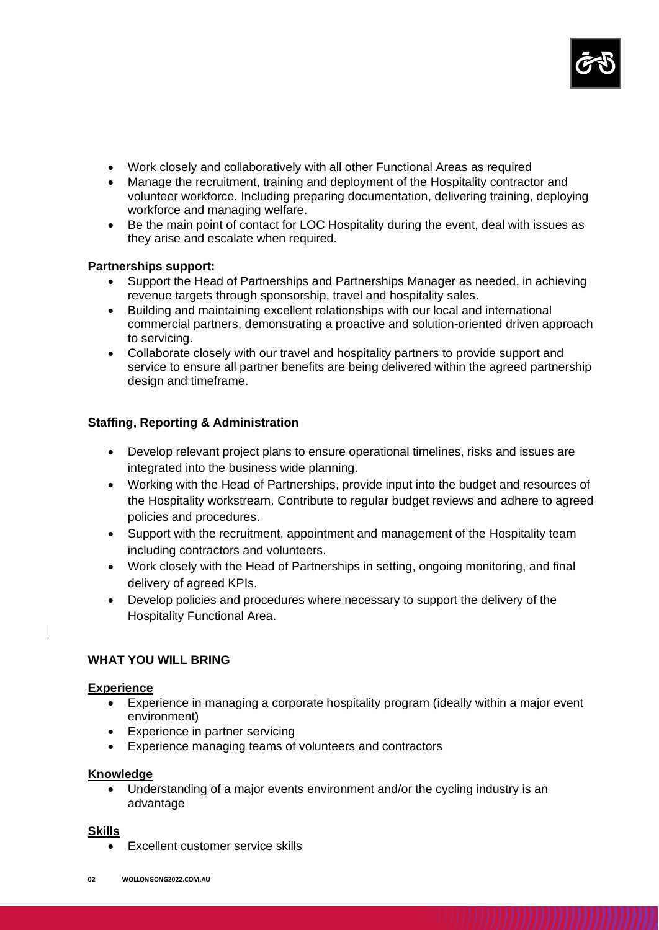

- Work closely and collaboratively with all other Functional Areas as required
- Manage the recruitment, training and deployment of the Hospitality contractor and volunteer workforce. Including preparing documentation, delivering training, deploying workforce and managing welfare.
- Be the main point of contact for LOC Hospitality during the event, deal with issues as they arise and escalate when required.

## **Partnerships support:**

- Support the Head of Partnerships and Partnerships Manager as needed, in achieving revenue targets through sponsorship, travel and hospitality sales.
- Building and maintaining excellent relationships with our local and international commercial partners, demonstrating a proactive and solution-oriented driven approach to servicing.
- Collaborate closely with our travel and hospitality partners to provide support and service to ensure all partner benefits are being delivered within the agreed partnership design and timeframe.

## **Staffing, Reporting & Administration**

- Develop relevant project plans to ensure operational timelines, risks and issues are integrated into the business wide planning.
- Working with the Head of Partnerships, provide input into the budget and resources of the Hospitality workstream. Contribute to regular budget reviews and adhere to agreed policies and procedures.
- Support with the recruitment, appointment and management of the Hospitality team including contractors and volunteers.
- Work closely with the Head of Partnerships in setting, ongoing monitoring, and final delivery of agreed KPIs.
- Develop policies and procedures where necessary to support the delivery of the Hospitality Functional Area.

## **WHAT YOU WILL BRING**

#### **Experience**

- Experience in managing a corporate hospitality program (ideally within a major event environment)
- Experience in partner servicing
- Experience managing teams of volunteers and contractors

## **Knowledge**

• Understanding of a major events environment and/or the cycling industry is an advantage

#### **Skills**

Excellent customer service skills